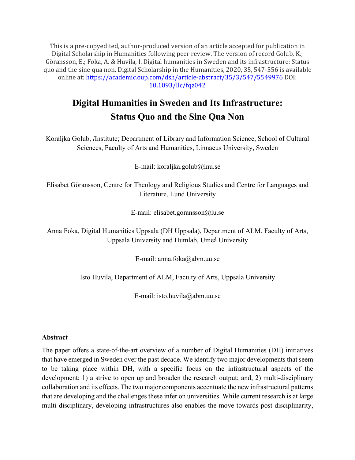This is a pre-copyedited, author-produced version of an article accepted for publication in Digital Scholarship in Humanities following peer review. The version of record Golub, K.; Göransson, E.; Foka, A. & Huvila, I. Digital humanities in Sweden and its infrastructure: Status quo and the sine qua non. Digital Scholarship in the Humanities, 2020, 35, 547-556 is available online at: https://academic.oup.com/dsh/article-abstract/35/3/547/5549976 DOI: 10.1093/llc/fqz042

# **Digital Humanities in Sweden and Its Infrastructure: Status Quo and the Sine Qua Non**

Koraljka Golub, *i*Institute; Department of Library and Information Science, School of Cultural Sciences, Faculty of Arts and Humanities, Linnaeus University, Sweden

E-mail: koraljka.golub@lnu.se

Elisabet Göransson, Centre for Theology and Religious Studies and Centre for Languages and Literature, Lund University

E-mail: elisabet.goransson@lu.se

Anna Foka, Digital Humanities Uppsala (DH Uppsala), Department of ALM, Faculty of Arts, Uppsala University and Humlab, Umeå University

E-mail: anna.foka@abm.uu.se

Isto Huvila, Department of ALM, Faculty of Arts, Uppsala University

E-mail: isto.huvila@abm.uu.se

# **Abstract**

The paper offers a state-of-the-art overview of a number of Digital Humanities (DH) initiatives that have emerged in Sweden over the past decade. We identify two major developments that seem to be taking place within DH, with a specific focus on the infrastructural aspects of the development: 1) a strive to open up and broaden the research output; and, 2) multi-disciplinary collaboration and its effects. The two major components accentuate the new infrastructural patterns that are developing and the challenges these infer on universities. While current research is at large multi-disciplinary, developing infrastructures also enables the move towards post-disciplinarity,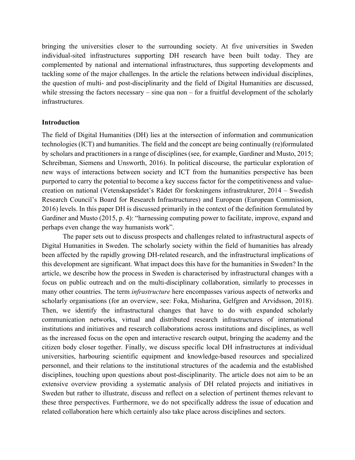bringing the universities closer to the surrounding society. At five universities in Sweden individual-sited infrastructures supporting DH research have been built today. They are complemented by national and international infrastructures, thus supporting developments and tackling some of the major challenges. In the article the relations between individual disciplines, the question of multi- and post-disciplinarity and the field of Digital Humanities are discussed, while stressing the factors necessary – sine qua non – for a fruitful development of the scholarly infrastructures.

#### **Introduction**

The field of Digital Humanities (DH) lies at the intersection of information and communication technologies (ICT) and humanities. The field and the concept are being continually (re)formulated by scholars and practitioners in a range of disciplines (see, for example, Gardiner and Musto, 2015; Schreibman, Siemens and Unsworth, 2016). In political discourse, the particular exploration of new ways of interactions between society and ICT from the humanities perspective has been purported to carry the potential to become a key success factor for the competitiveness and valuecreation on national (Vetenskapsrådet's Rådet för forskningens infrastrukturer, 2014 – Swedish Research Council's Board for Research Infrastructures) and European (European Commission, 2016) levels. In this paper DH is discussed primarily in the context of the definition formulated by Gardiner and Musto (2015, p. 4): "harnessing computing power to facilitate, improve, expand and perhaps even change the way humanists work".

The paper sets out to discuss prospects and challenges related to infrastructural aspects of Digital Humanities in Sweden. The scholarly society within the field of humanities has already been affected by the rapidly growing DH-related research, and the infrastructural implications of this development are significant. What impact does this have for the humanities in Sweden? In the article, we describe how the process in Sweden is characterised by infrastructural changes with a focus on public outreach and on the multi-disciplinary collaboration, similarly to processes in many other countries. The term *infrastructure* here encompasses various aspects of networks and scholarly organisations (for an overview, see: Foka, Misharina, Gelfgren and Arvidsson, 2018). Then, we identify the infrastructural changes that have to do with expanded scholarly communication networks, virtual and distributed research infrastructures of international institutions and initiatives and research collaborations across institutions and disciplines, as well as the increased focus on the open and interactive research output, bringing the academy and the citizen body closer together. Finally, we discuss specific local DH infrastructures at individual universities, harbouring scientific equipment and knowledge-based resources and specialized personnel, and their relations to the institutional structures of the academia and the established disciplines, touching upon questions about post-disciplinarity. The article does not aim to be an extensive overview providing a systematic analysis of DH related projects and initiatives in Sweden but rather to illustrate, discuss and reflect on a selection of pertinent themes relevant to these three perspectives. Furthermore, we do not specifically address the issue of education and related collaboration here which certainly also take place across disciplines and sectors.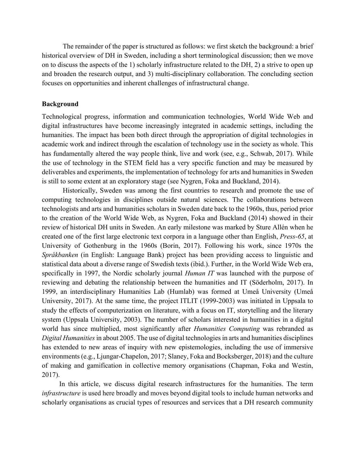The remainder of the paper is structured as follows: we first sketch the background: a brief historical overview of DH in Sweden, including a short terminological discussion; then we move on to discuss the aspects of the 1) scholarly infrastructure related to the DH, 2) a strive to open up and broaden the research output, and 3) multi-disciplinary collaboration. The concluding section focuses on opportunities and inherent challenges of infrastructural change.

## **Background**

Technological progress, information and communication technologies, World Wide Web and digital infrastructures have become increasingly integrated in academic settings, including the humanities. The impact has been both direct through the appropriation of digital technologies in academic work and indirect through the escalation of technology use in the society as whole. This has fundamentally altered the way people think, live and work (see, e.g., Schwab, 2017). While the use of technology in the STEM field has a very specific function and may be measured by deliverables and experiments, the implementation of technology for arts and humanities in Sweden is still to some extent at an exploratory stage (see Nygren, Foka and Buckland, 2014).

Historically, Sweden was among the first countries to research and promote the use of computing technologies in disciplines outside natural sciences. The collaborations between technologists and arts and humanities scholars in Sweden date back to the 1960s, thus, period prior to the creation of the World Wide Web, as Nygren, Foka and Buckland (2014) showed in their review of historical DH units in Sweden. An early milestone was marked by Sture Allén when he created one of the first large electronic text corpora in a language other than English, *Press-65*, at University of Gothenburg in the 1960s (Borin, 2017). Following his work, since 1970s the *Språkbanken* (in English: Language Bank) project has been providing access to linguistic and statistical data about a diverse range of Swedish texts (ibid.). Further, in the World Wide Web era, specifically in 1997, the Nordic scholarly journal *Human IT* was launched with the purpose of reviewing and debating the relationship between the humanities and IT (Söderholm, 2017). In 1999, an interdisciplinary Humanities Lab (Humlab) was formed at Umeå University (Umeå University, 2017). At the same time, the project ITLIT (1999-2003) was initiated in Uppsala to study the effects of computerization on literature, with a focus on IT, storytelling and the literary system (Uppsala University, 2003). The number of scholars interested in humanities in a digital world has since multiplied, most significantly after *Humanities Computing* was rebranded as *Digital Humanities*in about 2005. The use of digital technologies in arts and humanities disciplines has extended to new areas of inquiry with new epistemologies, including the use of immersive environments (e.g., Ljungar-Chapelon, 2017; Slaney, Foka and Bocksberger, 2018) and the culture of making and gamification in collective memory organisations (Chapman, Foka and Westin, 2017).

 In this article, we discuss digital research infrastructures for the humanities. The term *infrastructure* is used here broadly and moves beyond digital tools to include human networks and scholarly organisations as crucial types of resources and services that a DH research community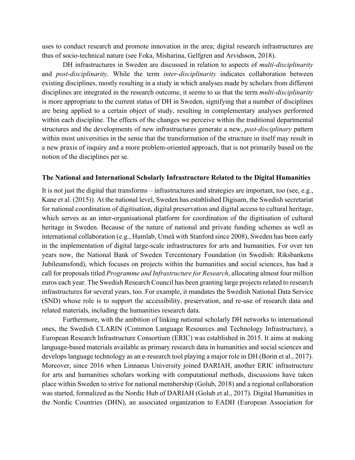uses to conduct research and promote innovation in the area; digital research infrastructures are thus of socio-technical nature (see Foka, Misharina, Gelfgren and Arvidsson, 2018).

DH infrastructures in Sweden are discussed in relation to aspects of *multi-disciplinarity*  and *post-disciplinarity*. While the term *inter-disciplinarity* indicates collaboration between existing disciplines, mostly resulting in a study in which analyses made by scholars from different disciplines are integrated in the research outcome, it seems to us that the term *multi-disciplinarity*  is more appropriate to the current status of DH in Sweden, signifying that a number of disciplines are being applied to a certain object of study, resulting in complementary analyses performed within each discipline. The effects of the changes we perceive within the traditional departmental structures and the developments of new infrastructures generate a new, *post-disciplinary* pattern within most universities in the sense that the transformation of the structure in itself may result in a new praxis of inquiry and a more problem-oriented approach, that is not primarily based on the notion of the disciplines per se.

#### **The National and International Scholarly Infrastructure Related to the Digital Humanities**

It is not just the digital that transforms – infrastructures and strategies are important, too (see, e.g., Kane et al. (2015)). At the national level, Sweden has established Digisam, the Swedish secretariat for national coordination of digitisation, digital preservation and digital access to cultural heritage, which serves as an inter-organisational platform for coordination of the digitisation of cultural heritage in Sweden. Because of the nature of national and private funding schemes as well as international collaboration (e.g., Humlab, Umeå with Stanford since 2008), Sweden has been early in the implementation of digital large-scale infrastructures for arts and humanities. For over ten years now, the National Bank of Sweden Tercentenary Foundation (in Swedish: Riksbankens Jubileumsfond), which focuses on projects within the humanities and social sciences, has had a call for proposals titled *Programme and Infrastructure for Research*, allocating almost four million euros each year. The Swedish Research Council has been granting large projects related to research infrastructures for several years, too. For example, it mandates the Swedish National Data Service (SND) whose role is to support the accessibility, preservation, and re-use of research data and related materials, including the humanities research data.

Furthermore, with the ambition of linking national scholarly DH networks to international ones, the Swedish CLARIN (Common Language Resources and Technology Infrastructure), a European Research Infrastructure Consortium (ERIC) was established in 2015. It aims at making language-based materials available as primary research data in humanities and social sciences and develops language technology as an e-research tool playing a major role in DH (Borin et al., 2017). Moreover, since 2016 when Linnaeus University joined DARIAH, another ERIC infrastructure for arts and humanities scholars working with computational methods, discussions have taken place within Sweden to strive for national membership (Golub, 2018) and a regional collaboration was started, formalized as the Nordic Hub of DARIAH (Golub et al., 2017). Digital Humanities in the Nordic Countries (DHN), an associated organization to EADH (European Association for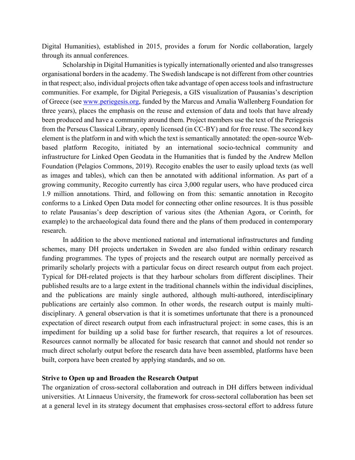Digital Humanities), established in 2015, provides a forum for Nordic collaboration, largely through its annual conferences.

Scholarship in Digital Humanities is typically internationally oriented and also transgresses organisational borders in the academy. The Swedish landscape is not different from other countries in that respect; also, individual projects often take advantage of open access tools and infrastructure communities. For example, for Digital Periegesis, a GIS visualization of Pausanias's description of Greece (see www.periegesis.org, funded by the Marcus and Amalia Wallenberg Foundation for three years), places the emphasis on the reuse and extension of data and tools that have already been produced and have a community around them. Project members use the text of the Periegesis from the Perseus Classical Library, openly licensed (in CC-BY) and for free reuse.The second key element is the platform in and with which the text is semantically annotated: the open-source Webbased platform Recogito, initiated by an international socio-technical community and infrastructure for Linked Open Geodata in the Humanities that is funded by the Andrew Mellon Foundation (Pelagios Commons, 2019). Recogito enables the user to easily upload texts (as well as images and tables), which can then be annotated with additional information. As part of a growing community, Recogito currently has circa 3,000 regular users, who have produced circa 1.9 million annotations. Third, and following on from this: semantic annotation in Recogito conforms to a Linked Open Data model for connecting other online resources. It is thus possible to relate Pausanias's deep description of various sites (the Athenian Agora, or Corinth, for example) to the archaeological data found there and the plans of them produced in contemporary research.

In addition to the above mentioned national and international infrastructures and funding schemes, many DH projects undertaken in Sweden are also funded within ordinary research funding programmes. The types of projects and the research output are normally perceived as primarily scholarly projects with a particular focus on direct research output from each project. Typical for DH-related projects is that they harbour scholars from different disciplines. Their published results are to a large extent in the traditional channels within the individual disciplines, and the publications are mainly single authored, although multi-authored, interdisciplinary publications are certainly also common. In other words, the research output is mainly multidisciplinary. A general observation is that it is sometimes unfortunate that there is a pronounced expectation of direct research output from each infrastructural project: in some cases, this is an impediment for building up a solid base for further research, that requires a lot of resources. Resources cannot normally be allocated for basic research that cannot and should not render so much direct scholarly output before the research data have been assembled, platforms have been built, corpora have been created by applying standards, and so on.

# **Strive to Open up and Broaden the Research Output**

The organization of cross-sectoral collaboration and outreach in DH differs between individual universities. At Linnaeus University, the framework for cross-sectoral collaboration has been set at a general level in its strategy document that emphasises cross-sectoral effort to address future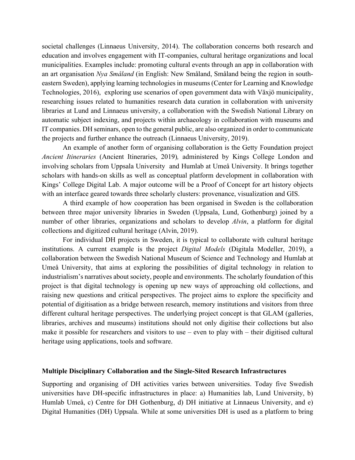societal challenges (Linnaeus University, 2014). The collaboration concerns both research and education and involves engagement with IT-companies, cultural heritage organizations and local municipalities. Examples include: promoting cultural events through an app in collaboration with an art organisation *Nya Småland* (in English: New Småland, Småland being the region in southeastern Sweden), applying learning technologies in museums (Center for Learning and Knowledge Technologies, 2016), exploring use scenarios of open government data with Växjö municipality, researching issues related to humanities research data curation in collaboration with university libraries at Lund and Linnaeus university, a collaboration with the Swedish National Library on automatic subject indexing, and projects within archaeology in collaboration with museums and IT companies. DH seminars, open to the general public, are also organized in order to communicate the projects and further enhance the outreach (Linnaeus University, 2019).

An example of another form of organising collaboration is the Getty Foundation project *Ancient Itineraries* (Ancient Itineraries, 2019)*,* administered by Kings College London and involving scholars from Uppsala University and Humlab at Umeå University. It brings together scholars with hands-on skills as well as conceptual platform development in collaboration with Kings' College Digital Lab. A major outcome will be a Proof of Concept for art history objects with an interface geared towards three scholarly clusters: provenance, visualization and GIS.

A third example of how cooperation has been organised in Sweden is the collaboration between three major university libraries in Sweden (Uppsala, Lund, Gothenburg) joined by a number of other libraries, organizations and scholars to develop *Alvin*, a platform for digital collections and digitized cultural heritage (Alvin, 2019).

For individual DH projects in Sweden, it is typical to collaborate with cultural heritage institutions. A current example is the project *Digital Models* (Digitala Modeller, 2019), a collaboration between the Swedish National Museum of Science and Technology and Humlab at Umeå University, that aims at exploring the possibilities of digital technology in relation to industrialism's narratives about society, people and environments. The scholarly foundation of this project is that digital technology is opening up new ways of approaching old collections, and raising new questions and critical perspectives. The project aims to explore the specificity and potential of digitisation as a bridge between research, memory institutions and visitors from three different cultural heritage perspectives. The underlying project concept is that GLAM (galleries, libraries, archives and museums) institutions should not only digitise their collections but also make it possible for researchers and visitors to use – even to play with – their digitised cultural heritage using applications, tools and software.

## **Multiple Disciplinary Collaboration and the Single-Sited Research Infrastructures**

Supporting and organising of DH activities varies between universities. Today five Swedish universities have DH-specific infrastructures in place: a) Humanities lab, Lund University, b) Humlab Umeå, c) Centre for DH Gothenburg, d) DH initiative at Linnaeus University, and e) Digital Humanities (DH) Uppsala. While at some universities DH is used as a platform to bring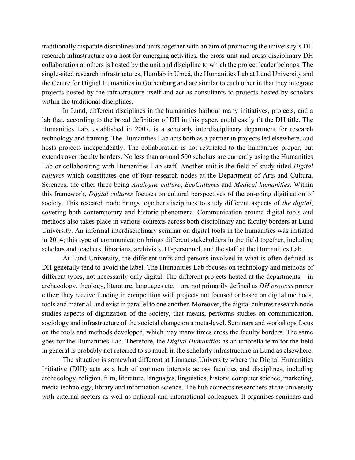traditionally disparate disciplines and units together with an aim of promoting the university's DH research infrastructure as a host for emerging activities, the cross-unit and cross-disciplinary DH collaboration at others is hosted by the unit and discipline to which the project leader belongs. The single-sited research infrastructures, Humlab in Umeå, the Humanities Lab at Lund University and the Centre for Digital Humanities in Gothenburg and are similar to each other in that they integrate projects hosted by the infrastructure itself and act as consultants to projects hosted by scholars within the traditional disciplines.

In Lund, different disciplines in the humanities harbour many initiatives, projects, and a lab that, according to the broad definition of DH in this paper, could easily fit the DH title. The Humanities Lab, established in 2007, is a scholarly interdisciplinary department for research technology and training. The Humanities Lab acts both as a partner in projects led elsewhere, and hosts projects independently. The collaboration is not restricted to the humanities proper, but extends over faculty borders. No less than around 500 scholars are currently using the Humanities Lab or collaborating with Humanities Lab staff. Another unit is the field of study titled *Digital cultures* which constitutes one of four research nodes at the Department of Arts and Cultural Sciences, the other three being *Analogue culture*, *EcoCultures* and *Medical humanities*. Within this framework, *Digital cultures* focuses on cultural perspectives of the on-going digitisation of society. This research node brings together disciplines to study different aspects of *the digital*, covering both contemporary and historic phenomena. Communication around digital tools and methods also takes place in various contexts across both disciplinary and faculty borders at Lund University. An informal interdisciplinary seminar on digital tools in the humanities was initiated in 2014; this type of communication brings different stakeholders in the field together, including scholars and teachers, librarians, archivists, IT-personnel, and the staff at the Humanities Lab.

At Lund University, the different units and persons involved in what is often defined as DH generally tend to avoid the label. The Humanities Lab focuses on technology and methods of different types, not necessarily only digital. The different projects hosted at the departments – in archaeology, theology, literature, languages etc. – are not primarily defined as *DH projects* proper either; they receive funding in competition with projects not focused or based on digital methods, tools and material, and exist in parallel to one another. Moreover, the digital cultures research node studies aspects of digitization of the society, that means, performs studies on communication, sociology and infrastructure of the societal change on a meta-level. Seminars and workshops focus on the tools and methods developed, which may many times cross the faculty borders. The same goes for the Humanities Lab. Therefore, the *Digital Humanities* as an umbrella term for the field in general is probably not referred to so much in the scholarly infrastructure in Lund as elsewhere.

The situation is somewhat different at Linnaeus University where the Digital Humanities Initiative (DHI) acts as a hub of common interests across faculties and disciplines, including archaeology, religion, film, literature, languages, linguistics, history, computer science, marketing, media technology, library and information science. The hub connects researchers at the university with external sectors as well as national and international colleagues. It organises seminars and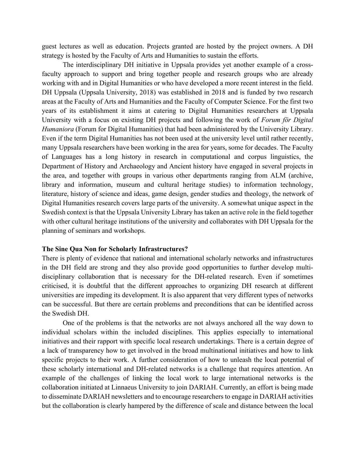guest lectures as well as education. Projects granted are hosted by the project owners. A DH strategy is hosted by the Faculty of Arts and Humanities to sustain the efforts.

The interdisciplinary DH initiative in Uppsala provides yet another example of a crossfaculty approach to support and bring together people and research groups who are already working with and in Digital Humanities or who have developed a more recent interest in the field. DH Uppsala (Uppsala University, 2018) was established in 2018 and is funded by two research areas at the Faculty of Arts and Humanities and the Faculty of Computer Science. For the first two years of its establishment it aims at catering to Digital Humanities researchers at Uppsala University with a focus on existing DH projects and following the work of *Forum för Digital Humaniora* (Forum for Digital Humanities) that had been administered by the University Library. Even if the term Digital Humanities has not been used at the university level until rather recently, many Uppsala researchers have been working in the area for years, some for decades. The Faculty of Languages has a long history in research in computational and corpus linguistics, the Department of History and Archaeology and Ancient history have engaged in several projects in the area, and together with groups in various other departments ranging from ALM (archive, library and information, museum and cultural heritage studies) to information technology, literature, history of science and ideas, game design, gender studies and theology, the network of Digital Humanities research covers large parts of the university. A somewhat unique aspect in the Swedish context is that the Uppsala University Library has taken an active role in the field together with other cultural heritage institutions of the university and collaborates with DH Uppsala for the planning of seminars and workshops.

## **The Sine Qua Non for Scholarly Infrastructures?**

There is plenty of evidence that national and international scholarly networks and infrastructures in the DH field are strong and they also provide good opportunities to further develop multidisciplinary collaboration that is necessary for the DH-related research. Even if sometimes criticised, it is doubtful that the different approaches to organizing DH research at different universities are impeding its development. It is also apparent that very different types of networks can be successful. But there are certain problems and preconditions that can be identified across the Swedish DH.

One of the problems is that the networks are not always anchored all the way down to individual scholars within the included disciplines. This applies especially to international initiatives and their rapport with specific local research undertakings. There is a certain degree of a lack of transparency how to get involved in the broad multinational initiatives and how to link specific projects to their work. A further consideration of how to unleash the local potential of these scholarly international and DH-related networks is a challenge that requires attention. An example of the challenges of linking the local work to large international networks is the collaboration initiated at Linnaeus University to join DARIAH. Currently, an effort is being made to disseminate DARIAH newsletters and to encourage researchers to engage in DARIAH activities but the collaboration is clearly hampered by the difference of scale and distance between the local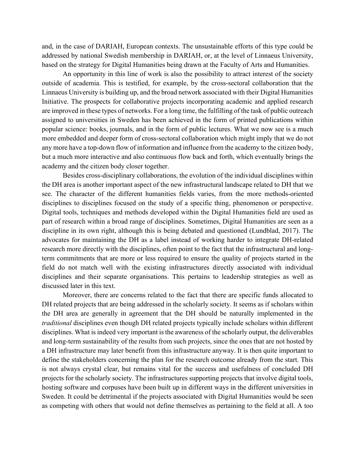and, in the case of DARIAH, European contexts. The unsustainable efforts of this type could be addressed by national Swedish membership in DARIAH, or, at the level of Linnaeus University, based on the strategy for Digital Humanities being drawn at the Faculty of Arts and Humanities.

An opportunity in this line of work is also the possibility to attract interest of the society outside of academia. This is testified, for example, by the cross-sectoral collaboration that the Linnaeus University is building up, and the broad network associated with their Digital Humanities Initiative. The prospects for collaborative projects incorporating academic and applied research are improved in these types of networks. For a long time, the fulfilling of the task of public outreach assigned to universities in Sweden has been achieved in the form of printed publications within popular science: books, journals, and in the form of public lectures. What we now see is a much more embedded and deeper form of cross-sectoral collaboration which might imply that we do not any more have a top-down flow of information and influence from the academy to the citizen body, but a much more interactive and also continuous flow back and forth, which eventually brings the academy and the citizen body closer together.

Besides cross-disciplinary collaborations, the evolution of the individual disciplines within the DH area is another important aspect of the new infrastructural landscape related to DH that we see. The character of the different humanities fields varies, from the more methods-oriented disciplines to disciplines focused on the study of a specific thing, phenomenon or perspective. Digital tools, techniques and methods developed within the Digital Humanities field are used as part of research within a broad range of disciplines. Sometimes, Digital Humanities are seen as a discipline in its own right, although this is being debated and questioned (Lundblad, 2017). The advocates for maintaining the DH as a label instead of working harder to integrate DH-related research more directly with the disciplines, often point to the fact that the infrastructural and longterm commitments that are more or less required to ensure the quality of projects started in the field do not match well with the existing infrastructures directly associated with individual disciplines and their separate organisations. This pertains to leadership strategies as well as discussed later in this text.

Moreover, there are concerns related to the fact that there are specific funds allocated to DH related projects that are being addressed in the scholarly society. It seems as if scholars within the DH area are generally in agreement that the DH should be naturally implemented in the *traditional* disciplines even though DH related projects typically include scholars within different disciplines. What is indeed very important is the awareness of the scholarly output, the deliverables and long-term sustainability of the results from such projects, since the ones that are not hosted by a DH infrastructure may later benefit from this infrastructure anyway. It is then quite important to define the stakeholders concerning the plan for the research outcome already from the start. This is not always crystal clear, but remains vital for the success and usefulness of concluded DH projects for the scholarly society. The infrastructures supporting projects that involve digital tools, hosting software and corpuses have been built up in different ways in the different universities in Sweden. It could be detrimental if the projects associated with Digital Humanities would be seen as competing with others that would not define themselves as pertaining to the field at all. A too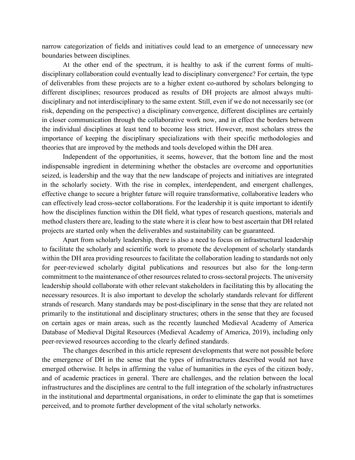narrow categorization of fields and initiatives could lead to an emergence of unnecessary new boundaries between disciplines.

At the other end of the spectrum, it is healthy to ask if the current forms of multidisciplinary collaboration could eventually lead to disciplinary convergence? For certain, the type of deliverables from these projects are to a higher extent co-authored by scholars belonging to different disciplines; resources produced as results of DH projects are almost always multidisciplinary and not interdisciplinary to the same extent. Still, even if we do not necessarily see (or risk, depending on the perspective) a disciplinary convergence, different disciplines are certainly in closer communication through the collaborative work now, and in effect the borders between the individual disciplines at least tend to become less strict. However, most scholars stress the importance of keeping the disciplinary specializations with their specific methodologies and theories that are improved by the methods and tools developed within the DH area.

Independent of the opportunities, it seems, however, that the bottom line and the most indispensable ingredient in determining whether the obstacles are overcome and opportunities seized, is leadership and the way that the new landscape of projects and initiatives are integrated in the scholarly society. With the rise in complex, interdependent, and emergent challenges, effective change to secure a brighter future will require transformative, collaborative leaders who can effectively lead cross-sector collaborations. For the leadership it is quite important to identify how the disciplines function within the DH field, what types of research questions, materials and method clusters there are, leading to the state where it is clear how to best ascertain that DH related projects are started only when the deliverables and sustainability can be guaranteed.

Apart from scholarly leadership, there is also a need to focus on infrastructural leadership to facilitate the scholarly and scientific work to promote the development of scholarly standards within the DH area providing resources to facilitate the collaboration leading to standards not only for peer-reviewed scholarly digital publications and resources but also for the long-term commitment to the maintenance of other resources related to cross-sectoral projects. The university leadership should collaborate with other relevant stakeholders in facilitating this by allocating the necessary resources. It is also important to develop the scholarly standards relevant for different strands of research. Many standards may be post-disciplinary in the sense that they are related not primarily to the institutional and disciplinary structures; others in the sense that they are focused on certain ages or main areas, such as the recently launched Medieval Academy of America Database of Medieval Digital Resources (Medieval Academy of America, 2019), including only peer-reviewed resources according to the clearly defined standards.

The changes described in this article represent developments that were not possible before the emergence of DH in the sense that the types of infrastructures described would not have emerged otherwise. It helps in affirming the value of humanities in the eyes of the citizen body, and of academic practices in general. There are challenges, and the relation between the local infrastructures and the disciplines are central to the full integration of the scholarly infrastructures in the institutional and departmental organisations, in order to eliminate the gap that is sometimes perceived, and to promote further development of the vital scholarly networks.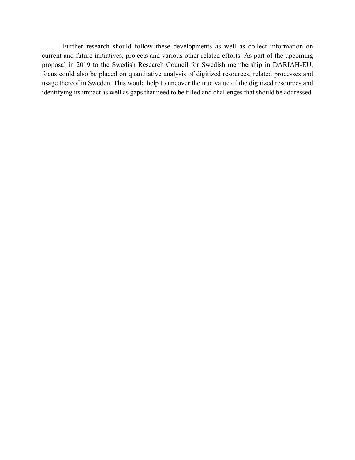Further research should follow these developments as well as collect information on current and future initiatives, projects and various other related efforts. As part of the upcoming proposal in 2019 to the Swedish Research Council for Swedish membership in DARIAH-EU, focus could also be placed on quantitative analysis of digitized resources, related processes and usage thereof in Sweden. This would help to uncover the true value of the digitized resources and identifying its impact as well as gaps that need to be filled and challenges that should be addressed.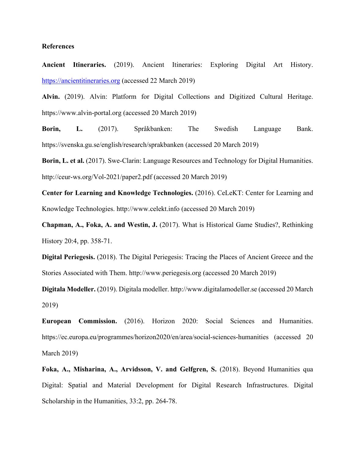# **References**

**Ancient Itineraries.** (2019). Ancient Itineraries: Exploring Digital Art History. https://ancientitineraries.org (accessed 22 March 2019)

**Alvin.** (2019). Alvin: Platform for Digital Collections and Digitized Cultural Heritage. https://www.alvin-portal.org (accessed 20 March 2019)

**Borin, L.** (2017). Språkbanken: The Swedish Language Bank. https://svenska.gu.se/english/research/sprakbanken (accessed 20 March 2019)

**Borin, L. et al.** (2017). Swe-Clarin: Language Resources and Technology for Digital Humanities. http://ceur-ws.org/Vol-2021/paper2.pdf (accessed 20 March 2019)

**Center for Learning and Knowledge Technologies.** (2016). CeLeKT: Center for Learning and Knowledge Technologies. http://www.celekt.info (accessed 20 March 2019)

**Chapman, A., Foka, A. and Westin, J.** (2017). What is Historical Game Studies?, Rethinking History 20:4, pp. 358-71.

**Digital Periegesis.** (2018). The Digital Periegesis: Tracing the Places of Ancient Greece and the Stories Associated with Them. http://www.periegesis.org (accessed 20 March 2019)

**Digitala Modeller.** (2019). Digitala modeller. http://www.digitalamodeller.se (accessed 20 March 2019)

**European Commission.** (2016). Horizon 2020: Social Sciences and Humanities. https://ec.europa.eu/programmes/horizon2020/en/area/social-sciences-humanities (accessed 20 March 2019)

**Foka, A., Misharina, A., Arvidsson, V. and Gelfgren, S.** (2018). Beyond Humanities qua Digital: Spatial and Material Development for Digital Research Infrastructures. Digital Scholarship in the Humanities, 33:2, pp. 264-78.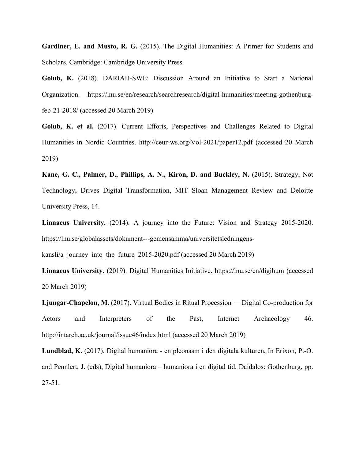**Gardiner, E. and Musto, R. G.** (2015). The Digital Humanities: A Primer for Students and Scholars. Cambridge: Cambridge University Press.

**Golub, K.** (2018). DARIAH-SWE: Discussion Around an Initiative to Start a National Organization. https://lnu.se/en/research/searchresearch/digital-humanities/meeting-gothenburgfeb-21-2018/ (accessed 20 March 2019)

**Golub, K. et al.** (2017). Current Efforts, Perspectives and Challenges Related to Digital Humanities in Nordic Countries. http://ceur-ws.org/Vol-2021/paper12.pdf (accessed 20 March 2019)

**Kane, G. C., Palmer, D., Phillips, A. N., Kiron, D. and Buckley, N.** (2015). Strategy, Not Technology, Drives Digital Transformation, MIT Sloan Management Review and Deloitte University Press, 14.

**Linnaeus University.** (2014). A journey into the Future: Vision and Strategy 2015-2020. https://lnu.se/globalassets/dokument---gemensamma/universitetsledningens-

kansli/a journey into the future 2015-2020.pdf (accessed 20 March 2019)

**Linnaeus University.** (2019). Digital Humanities Initiative. https://lnu.se/en/digihum (accessed 20 March 2019)

**Ljungar-Chapelon, M.** (2017). Virtual Bodies in Ritual Procession — Digital Co-production for Actors and Interpreters of the Past, Internet Archaeology 46. http://intarch.ac.uk/journal/issue46/index.html (accessed 20 March 2019)

**Lundblad, K.** (2017). Digital humaniora - en pleonasm i den digitala kulturen, In Erixon, P.-O. and Pennlert, J. (eds), Digital humaniora – humaniora i en digital tid. Daidalos: Gothenburg, pp. 27-51.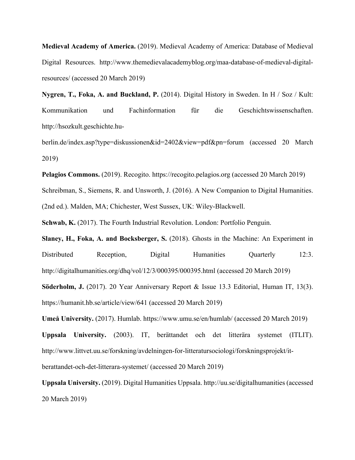**Medieval Academy of America.** (2019). Medieval Academy of America: Database of Medieval Digital Resources. http://www.themedievalacademyblog.org/maa-database-of-medieval-digitalresources/ (accessed 20 March 2019)

**Nygren, T., Foka, A. and Buckland, P.** (2014). Digital History in Sweden. In H / Soz / Kult: Kommunikation und Fachinformation für die Geschichtswissenschaften. http://hsozkult.geschichte.hu-

berlin.de/index.asp?type=diskussionen&id=2402&view=pdf&pn=forum (accessed 20 March 2019)

**Pelagios Commons.** (2019). Recogito. https://recogito.pelagios.org (accessed 20 March 2019)

Schreibman, S., Siemens, R. and Unsworth, J. (2016). A New Companion to Digital Humanities. (2nd ed.). Malden, MA; Chichester, West Sussex, UK: Wiley-Blackwell.

**Schwab, K.** (2017). The Fourth Industrial Revolution. London: Portfolio Penguin.

**Slaney, H., Foka, A. and Bocksberger, S.** (2018). Ghosts in the Machine: An Experiment in Distributed Reception, Digital Humanities Quarterly 12:3. http://digitalhumanities.org/dhq/vol/12/3/000395/000395.html (accessed 20 March 2019)

**Söderholm, J.** (2017). 20 Year Anniversary Report & Issue 13.3 Editorial, Human IT, 13(3). https://humanit.hb.se/article/view/641 (accessed 20 March 2019)

**Umeå University.** (2017). Humlab. https://www.umu.se/en/humlab/ (accessed 20 March 2019) **Uppsala University.** (2003). IT, berättandet och det litterära systemet (ITLIT). http://www.littvet.uu.se/forskning/avdelningen-for-litteratursociologi/forskningsprojekt/itberattandet-och-det-litterara-systemet/ (accessed 20 March 2019)

**Uppsala University.** (2019). Digital Humanities Uppsala. http://uu.se/digitalhumanities (accessed 20 March 2019)